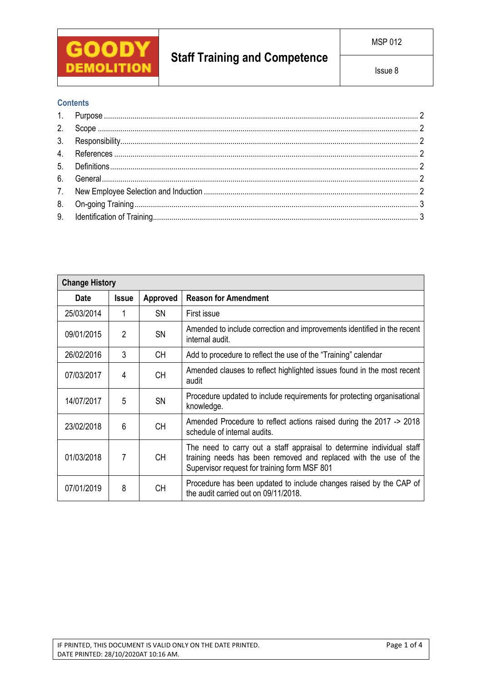

# **Staff Training and Competence**

## **Contents**

| <b>Change History</b> |                |           |                                                                                                                                                                                           |  |  |
|-----------------------|----------------|-----------|-------------------------------------------------------------------------------------------------------------------------------------------------------------------------------------------|--|--|
| <b>Date</b>           | <b>Issue</b>   | Approved  | <b>Reason for Amendment</b>                                                                                                                                                               |  |  |
| 25/03/2014            | 1              | <b>SN</b> | First issue                                                                                                                                                                               |  |  |
| 09/01/2015            | $\overline{2}$ | SN        | Amended to include correction and improvements identified in the recent<br>internal audit.                                                                                                |  |  |
| 26/02/2016            | 3              | <b>CH</b> | Add to procedure to reflect the use of the "Training" calendar                                                                                                                            |  |  |
| 07/03/2017            | 4              | <b>CH</b> | Amended clauses to reflect highlighted issues found in the most recent<br>audit                                                                                                           |  |  |
| 14/07/2017            | 5              | <b>SN</b> | Procedure updated to include requirements for protecting organisational<br>knowledge.                                                                                                     |  |  |
| 23/02/2018            | 6              | <b>CH</b> | Amended Procedure to reflect actions raised during the 2017 -> 2018<br>schedule of internal audits.                                                                                       |  |  |
| 01/03/2018            | 7              | <b>CH</b> | The need to carry out a staff appraisal to determine individual staff<br>training needs has been removed and replaced with the use of the<br>Supervisor request for training form MSF 801 |  |  |
| 07/01/2019            | 8              | <b>CH</b> | Procedure has been updated to include changes raised by the CAP of<br>the audit carried out on 09/11/2018.                                                                                |  |  |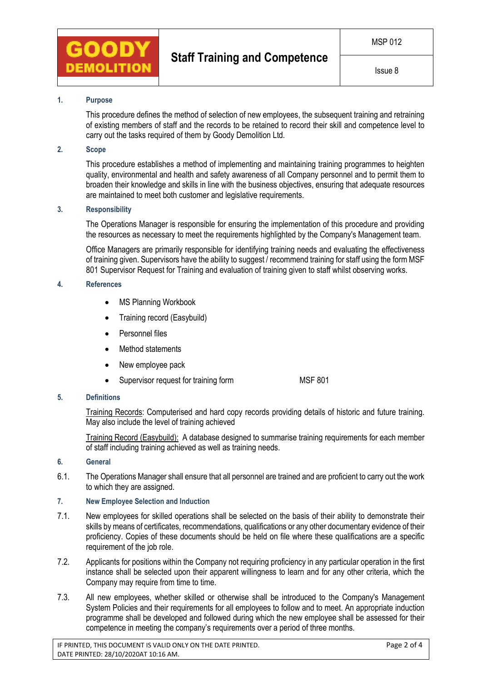

### **1. Purpose**

This procedure defines the method of selection of new employees, the subsequent training and retraining of existing members of staff and the records to be retained to record their skill and competence level to carry out the tasks required of them by Goody Demolition Ltd.

## **2. Scope**

This procedure establishes a method of implementing and maintaining training programmes to heighten quality, environmental and health and safety awareness of all Company personnel and to permit them to broaden their knowledge and skills in line with the business objectives, ensuring that adequate resources are maintained to meet both customer and legislative requirements.

#### **3. Responsibility**

The Operations Manager is responsible for ensuring the implementation of this procedure and providing the resources as necessary to meet the requirements highlighted by the Company's Management team.

Office Managers are primarily responsible for identifying training needs and evaluating the effectiveness of training given. Supervisors have the ability to suggest / recommend training for staff using the form MSF 801 Supervisor Request for Training and evaluation of training given to staff whilst observing works.

#### **4. References**

- MS Planning Workbook
- Training record (Easybuild)
- Personnel files
- Method statements
- New employee pack
- Supervisor request for training form MSF 801

## **5. Definitions**

Training Records: Computerised and hard copy records providing details of historic and future training. May also include the level of training achieved

Training Record (Easybuild): A database designed to summarise training requirements for each member of staff including training achieved as well as training needs.

#### **6. General**

6.1. The Operations Manager shall ensure that all personnel are trained and are proficient to carry out the work to which they are assigned.

#### **7. New Employee Selection and Induction**

- 7.1. New employees for skilled operations shall be selected on the basis of their ability to demonstrate their skills by means of certificates, recommendations, qualifications or any other documentary evidence of their proficiency. Copies of these documents should be held on file where these qualifications are a specific requirement of the job role.
- 7.2. Applicants for positions within the Company not requiring proficiency in any particular operation in the first instance shall be selected upon their apparent willingness to learn and for any other criteria, which the Company may require from time to time.
- 7.3. All new employees, whether skilled or otherwise shall be introduced to the Company's Management System Policies and their requirements for all employees to follow and to meet. An appropriate induction programme shall be developed and followed during which the new employee shall be assessed for their competence in meeting the company's requirements over a period of three months.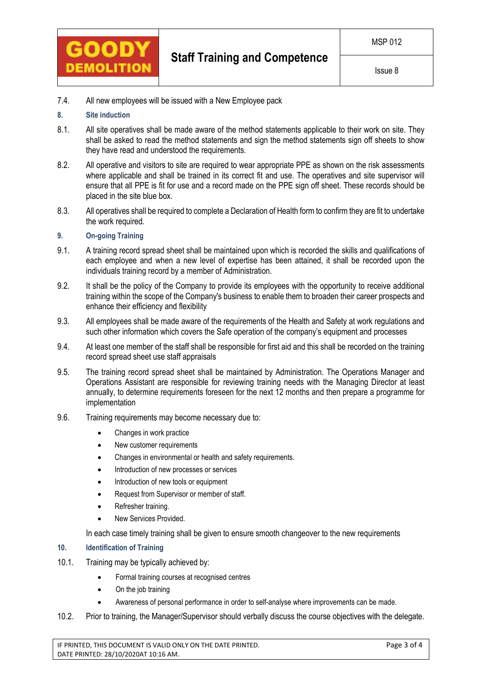

Issue 8

7.4. All new employees will be issued with a New Employee pack

## **8. Site induction**

- 8.1. All site operatives shall be made aware of the method statements applicable to their work on site. They shall be asked to read the method statements and sign the method statements sign off sheets to show they have read and understood the requirements.
- 8.2. All operative and visitors to site are required to wear appropriate PPE as shown on the risk assessments where applicable and shall be trained in its correct fit and use. The operatives and site supervisor will ensure that all PPE is fit for use and a record made on the PPE sign off sheet. These records should be placed in the site blue box.
- 8.3. All operatives shall be required to complete a Declaration of Health form to confirm they are fit to undertake the work required.

## **9. On-going Training**

- 9.1. A training record spread sheet shall be maintained upon which is recorded the skills and qualifications of each employee and when a new level of expertise has been attained, it shall be recorded upon the individuals training record by a member of Administration.
- 9.2. It shall be the policy of the Company to provide its employees with the opportunity to receive additional training within the scope of the Company's business to enable them to broaden their career prospects and enhance their efficiency and flexibility
- 9.3. All employees shall be made aware of the requirements of the Health and Safety at work regulations and such other information which covers the Safe operation of the company's equipment and processes
- 9.4. At least one member of the staff shall be responsible for first aid and this shall be recorded on the training record spread sheet use staff appraisals
- 9.5. The training record spread sheet shall be maintained by Administration. The Operations Manager and Operations Assistant are responsible for reviewing training needs with the Managing Director at least annually, to determine requirements foreseen for the next 12 months and then prepare a programme for implementation
- 9.6. Training requirements may become necessary due to:
	- Changes in work practice
	- New customer requirements
	- Changes in environmental or health and safety requirements.
	- Introduction of new processes or services
	- Introduction of new tools or equipment
	- Request from Supervisor or member of staff.
	- Refresher training.
	- New Services Provided.

In each case timely training shall be given to ensure smooth changeover to the new requirements

#### **10. Identification of Training**

- 10.1. Training may be typically achieved by:
	- Formal training courses at recognised centres
	- On the job training
	- Awareness of personal performance in order to self-analyse where improvements can be made.
- 10.2. Prior to training, the Manager/Supervisor should verbally discuss the course objectives with the delegate.